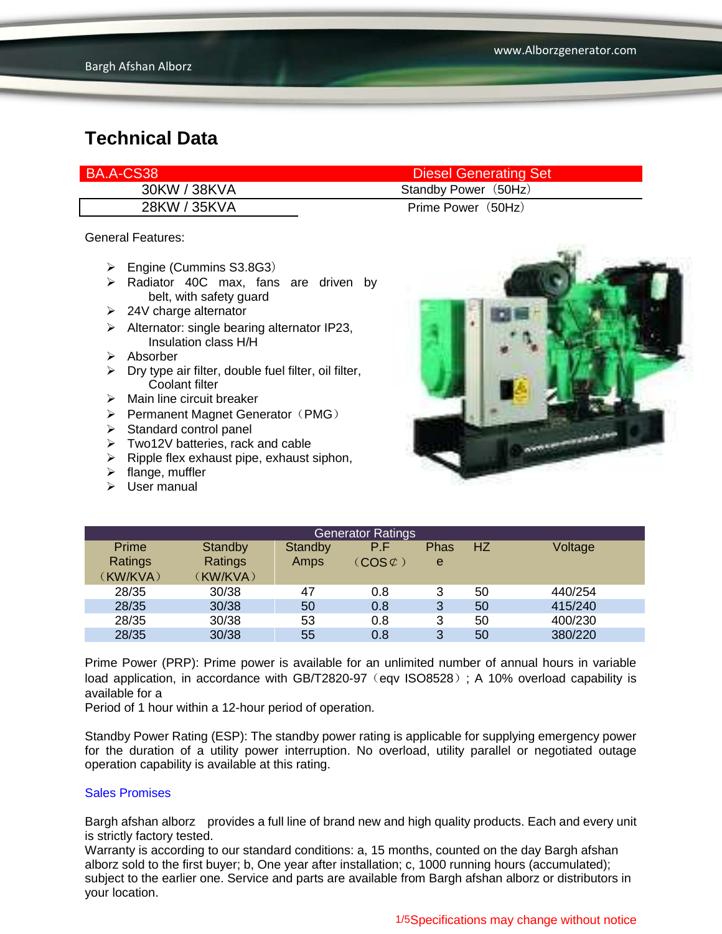| BA.A-CS38    | <b>Diesel Generating Set</b> |
|--------------|------------------------------|
| 30KW / 38KVA | Standby Power (50Hz)         |
| 28KW / 35KVA | Prime Power (50Hz)           |

General Features:

- Engine (Cummins S3.8G3)
- $\triangleright$  Radiator 40C max, fans are driven by belt, with safety guard
- $\geq$  24V charge alternator
- $\triangleright$  Alternator: single bearing alternator IP23, Insulation class H/H
- $\triangleright$  Absorber
- $\triangleright$  Dry type air filter, double fuel filter, oil filter, Coolant filter
- $\triangleright$  Main line circuit breaker
- $\triangleright$  Permanent Magnet Generator (PMG)
- $\triangleright$  Standard control panel
- Two12V batteries, rack and cable
- $\triangleright$  Ripple flex exhaust pipe, exhaust siphon,
- $\blacktriangleright$  flange, muffler
- $\triangleright$  User manual



|          |          |         | <b>Generator Ratings</b>     |             |    |         |
|----------|----------|---------|------------------------------|-------------|----|---------|
| Prime    | Standby  | Standby | P.F                          | <b>Phas</b> | HZ | Voltage |
| Ratings  | Ratings  | Amps    | $\mathsf{COS}\mathfrak{C}$ ) | e           |    |         |
| (KW/KVA) | (KW/KVA) |         |                              |             |    |         |
| 28/35    | 30/38    | 47      | 0.8                          | 3           | 50 | 440/254 |
| 28/35    | 30/38    | 50      | 0.8                          | 3           | 50 | 415/240 |
| 28/35    | 30/38    | 53      | 0.8                          | 3           | 50 | 400/230 |
| 28/35    | 30/38    | 55      | 0.8                          | 3           | 50 | 380/220 |

Prime Power (PRP): Prime power is available for an unlimited number of annual hours in variable load application, in accordance with GB/T2820-97 (eqv ISO8528); A 10% overload capability is available for a

Period of 1 hour within a 12-hour period of operation.

Standby Power Rating (ESP): The standby power rating is applicable for supplying emergency power for the duration of a utility power interruption. No overload, utility parallel or negotiated outage operation capability is available at this rating.

#### Sales Promises

Bargh afshan alborz provides a full line of brand new and high quality products. Each and every unit is strictly factory tested.

Warranty is according to our standard conditions: a, 15 months, counted on the day Bargh afshan alborz sold to the first buyer; b, One year after installation; c, 1000 running hours (accumulated); subject to the earlier one. Service and parts are available from Bargh afshan alborz or distributors in your location.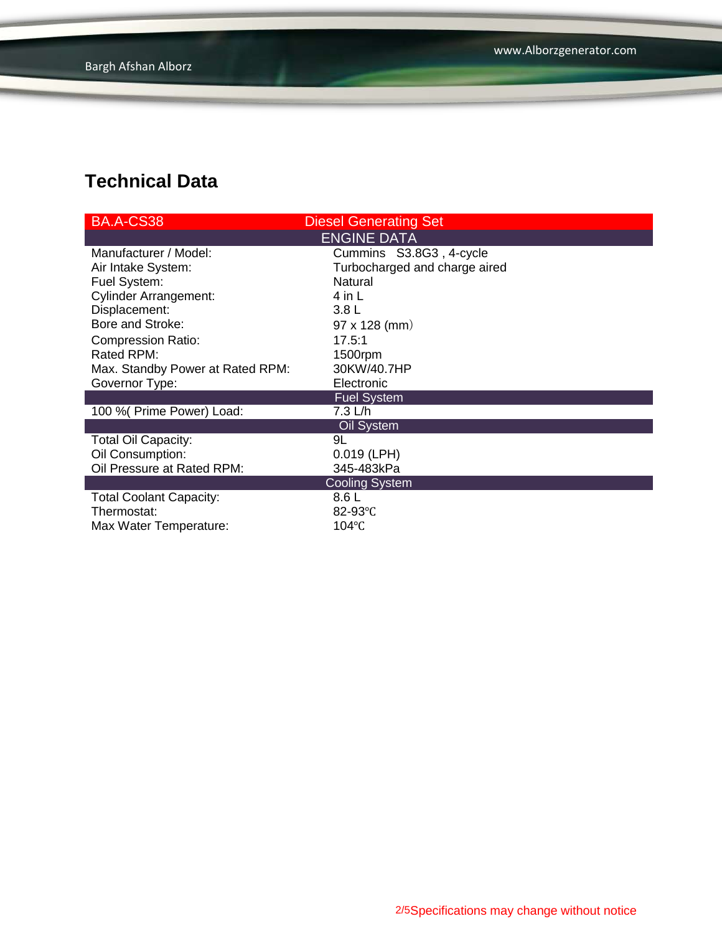| <b>BA.A-CS38</b>                 | <b>Diesel Generating Set</b>  |
|----------------------------------|-------------------------------|
|                                  | <b>ENGINE DATA</b>            |
| Manufacturer / Model:            | Cummins S3.8G3, 4-cycle       |
| Air Intake System:               | Turbocharged and charge aired |
| Fuel System:                     | <b>Natural</b>                |
| <b>Cylinder Arrangement:</b>     | 4 in L                        |
| Displacement:                    | 3.8 <sub>L</sub>              |
| Bore and Stroke:                 | 97 x 128 (mm)                 |
| <b>Compression Ratio:</b>        | 17.5:1                        |
| Rated RPM:                       | 1500rpm                       |
| Max. Standby Power at Rated RPM: | 30KW/40.7HP                   |
| Governor Type:                   | Electronic                    |
|                                  | <b>Fuel System</b>            |
| 100 % (Prime Power) Load:        | 7.3 L/h                       |
|                                  | Oil System                    |
| <b>Total Oil Capacity:</b>       | 9L                            |
| Oil Consumption:                 | $0.019$ (LPH)                 |
| Oil Pressure at Rated RPM:       | 345-483kPa                    |
|                                  | <b>Cooling System</b>         |
| <b>Total Coolant Capacity:</b>   | 8.6L                          |
| Thermostat:                      | 82-93 $°C$                    |
| Max Water Temperature:           | 104°C                         |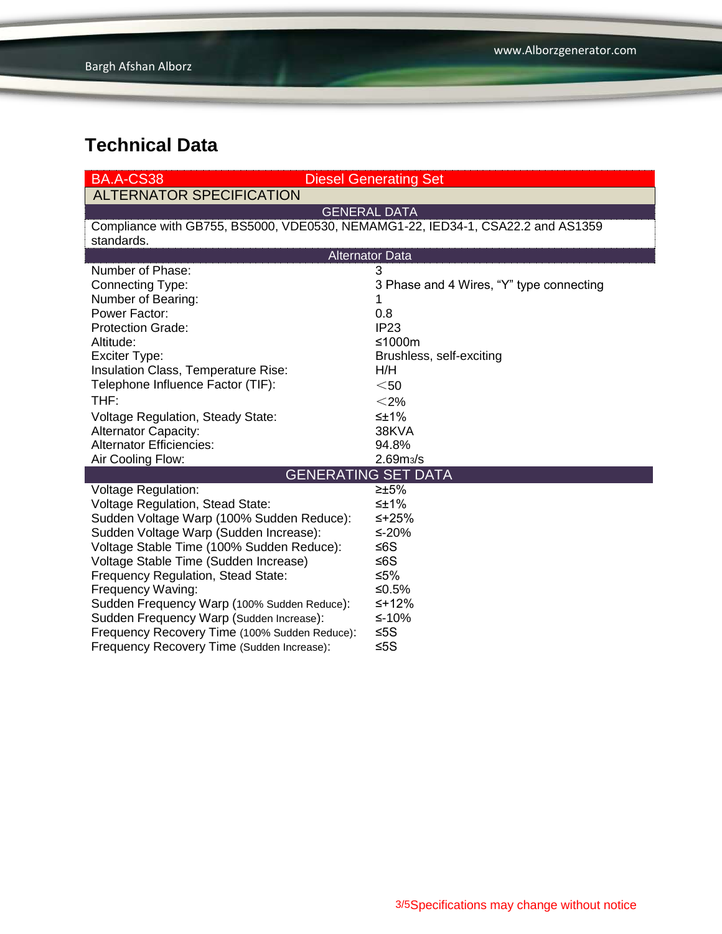| BA.A-CS38                                                          | <b>Diesel Generating Set</b> |
|--------------------------------------------------------------------|------------------------------|
| $\lambda$ ! TEB $\lambda$ ! $\lambda$ TAB ABEA!E!A $\lambda$ TIA)! |                              |

ALTERNATOR SPECIFICATION

GENERAL DATA

Compliance with GB755, BS5000, VDE0530, NEMAMG1-22, IED34-1, CSA22.2 and AS1359 standards.

| <b>Alternator Data</b>                        |                                          |  |
|-----------------------------------------------|------------------------------------------|--|
| Number of Phase:                              | 3                                        |  |
| Connecting Type:                              | 3 Phase and 4 Wires, "Y" type connecting |  |
| Number of Bearing:                            |                                          |  |
| Power Factor:                                 | 0.8                                      |  |
| <b>Protection Grade:</b>                      | IP <sub>23</sub>                         |  |
| Altitude:                                     | ≤1000m                                   |  |
| Exciter Type:                                 | Brushless, self-exciting                 |  |
| Insulation Class, Temperature Rise:           | H/H                                      |  |
| Telephone Influence Factor (TIF):             | $<$ 50                                   |  |
| THF:                                          | $<$ 2%                                   |  |
| <b>Voltage Regulation, Steady State:</b>      | ≤±1%                                     |  |
| <b>Alternator Capacity:</b>                   | 38KVA                                    |  |
| <b>Alternator Efficiencies:</b>               | 94.8%                                    |  |
| Air Cooling Flow:                             | 2.69 <sub>m3</sub> /s                    |  |
|                                               |                                          |  |
| <b>GENERATING SET DATA</b>                    |                                          |  |
| <b>Voltage Regulation:</b>                    | ≥±5%                                     |  |
| Voltage Regulation, Stead State:              | ≤±1%                                     |  |
| Sudden Voltage Warp (100% Sudden Reduce):     | ≤+25%                                    |  |
| Sudden Voltage Warp (Sudden Increase):        | ≤-20%                                    |  |
| Voltage Stable Time (100% Sudden Reduce):     | ≤6S                                      |  |
| Voltage Stable Time (Sudden Increase)         | ≤6S                                      |  |
| Frequency Regulation, Stead State:            | ≤5%                                      |  |
| Frequency Waving:                             | ≤0.5%                                    |  |
| Sudden Frequency Warp (100% Sudden Reduce):   | $≤+12%$                                  |  |
| Sudden Frequency Warp (Sudden Increase):      | ≤-10%                                    |  |
| Frequency Recovery Time (100% Sudden Reduce): | ≤5S                                      |  |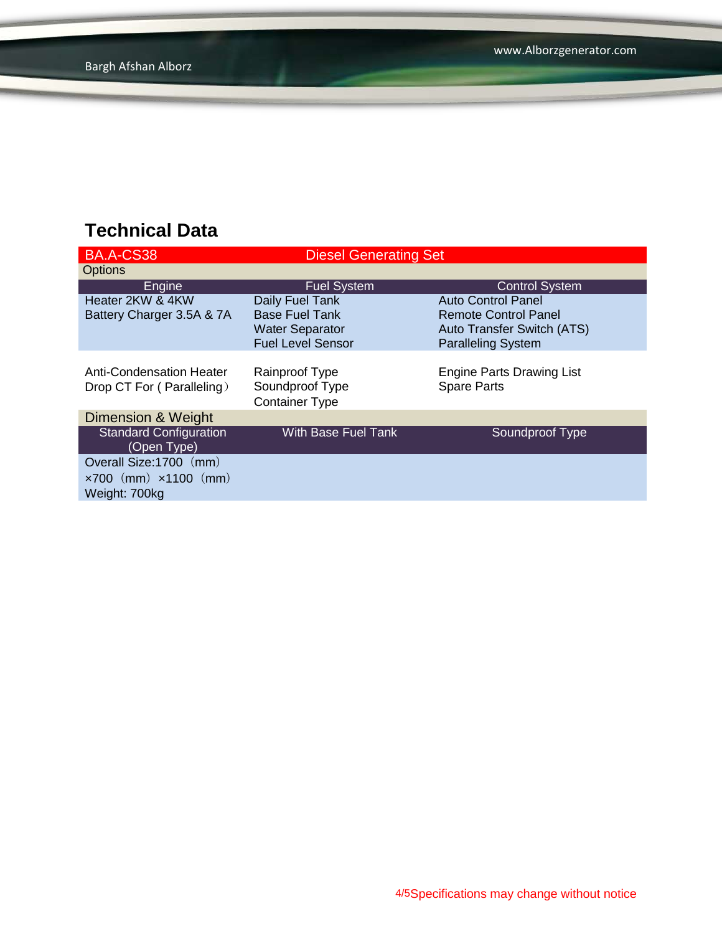| <b>BA.A-CS38</b>                                                                 | <b>Diesel Generating Set</b>                                                                   |                                                                                                              |
|----------------------------------------------------------------------------------|------------------------------------------------------------------------------------------------|--------------------------------------------------------------------------------------------------------------|
| <b>Options</b>                                                                   |                                                                                                |                                                                                                              |
| Engine                                                                           | <b>Fuel System</b>                                                                             | <b>Control System</b>                                                                                        |
| Heater 2KW & 4KW<br>Battery Charger 3.5A & 7A                                    | Daily Fuel Tank<br><b>Base Fuel Tank</b><br><b>Water Separator</b><br><b>Fuel Level Sensor</b> | Auto Control Panel<br><b>Remote Control Panel</b><br>Auto Transfer Switch (ATS)<br><b>Paralleling System</b> |
| Anti-Condensation Heater<br>Drop CT For (Paralleling)                            | Rainproof Type<br>Soundproof Type<br><b>Container Type</b>                                     | <b>Engine Parts Drawing List</b><br><b>Spare Parts</b>                                                       |
| Dimension & Weight                                                               |                                                                                                |                                                                                                              |
| <b>Standard Configuration</b><br>(Open Type)                                     | <b>With Base Fuel Tank</b>                                                                     | Soundproof Type                                                                                              |
| Overall Size: 1700 (mm)<br>$\times 700$ (mm) $\times 1100$ (mm)<br>Weight: 700kg |                                                                                                |                                                                                                              |